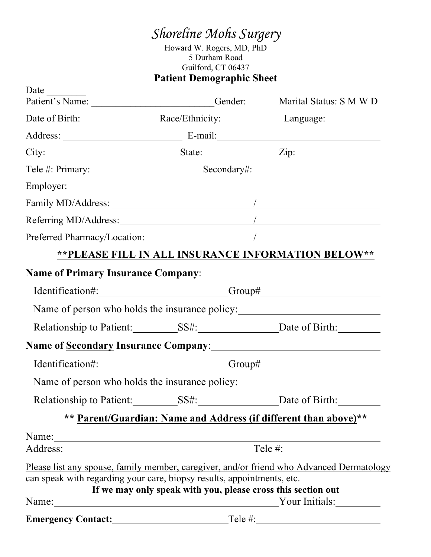Howard W. Rogers, MD, PhD 5 Durham Road Guilford, CT 06437 **Patient Demographic Sheet**

| Date                                                                                           |                                                 | Patient's Name: Cender: Marital Status: S M W D                                                                                                                                                                                     |
|------------------------------------------------------------------------------------------------|-------------------------------------------------|-------------------------------------------------------------------------------------------------------------------------------------------------------------------------------------------------------------------------------------|
|                                                                                                |                                                 | Date of Birth: Race/Ethnicity: Language: Language:                                                                                                                                                                                  |
|                                                                                                |                                                 |                                                                                                                                                                                                                                     |
|                                                                                                |                                                 | City: $Zip:$ State: $Zip:$                                                                                                                                                                                                          |
|                                                                                                |                                                 |                                                                                                                                                                                                                                     |
|                                                                                                |                                                 |                                                                                                                                                                                                                                     |
|                                                                                                |                                                 |                                                                                                                                                                                                                                     |
|                                                                                                |                                                 |                                                                                                                                                                                                                                     |
|                                                                                                |                                                 |                                                                                                                                                                                                                                     |
|                                                                                                |                                                 | ** PLEASE FILL IN ALL INSURANCE INFORMATION BELOW**                                                                                                                                                                                 |
|                                                                                                |                                                 | Name of <u>Primary</u> Insurance Company: Manual Companies Company and Company and Companies Companies Company and Companies Companies Companies Companies Companies Companies Companies Companies Companies Companies Companies Co |
|                                                                                                |                                                 |                                                                                                                                                                                                                                     |
|                                                                                                |                                                 | Name of person who holds the insurance policy:                                                                                                                                                                                      |
|                                                                                                |                                                 | Relationship to Patient: SS#: SS#: Date of Birth:                                                                                                                                                                                   |
|                                                                                                |                                                 | Name of Secondary Insurance Company: 1988 1997                                                                                                                                                                                      |
|                                                                                                | Identification#: Group#                         |                                                                                                                                                                                                                                     |
|                                                                                                |                                                 | Name of person who holds the insurance policy:                                                                                                                                                                                      |
|                                                                                                |                                                 |                                                                                                                                                                                                                                     |
|                                                                                                |                                                 | ** Parent/Guardian: Name and Address (if different than above)**                                                                                                                                                                    |
| Name: $\frac{1}{\sqrt{1-\frac{1}{2}}\sqrt{1-\frac{1}{2}}\left(\frac{1}{2}-\frac{1}{2}\right)}$ |                                                 | Address: Tele #: Tele #:                                                                                                                                                                                                            |
|                                                                                                |                                                 | Please list any spouse, family member, caregiver, and/or friend who Advanced Dermatology                                                                                                                                            |
| can speak with regarding your care, biopsy results, appointments, etc.                         |                                                 |                                                                                                                                                                                                                                     |
|                                                                                                |                                                 | If we may only speak with you, please cross this section out<br>Name: Your Initials:                                                                                                                                                |
| <b>Emergency Contact:</b>                                                                      | <u> 1980 - Johann Barnett, fransk politik (</u> |                                                                                                                                                                                                                                     |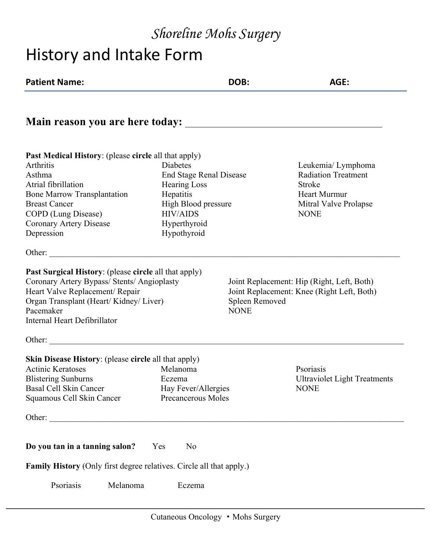# History and Intake Form

| <b>Patient Name:</b>                                                                                                                                                                                                                    | DOB:                                                                                                                                                    | AGE:                                                                                                               |
|-----------------------------------------------------------------------------------------------------------------------------------------------------------------------------------------------------------------------------------------|---------------------------------------------------------------------------------------------------------------------------------------------------------|--------------------------------------------------------------------------------------------------------------------|
|                                                                                                                                                                                                                                         |                                                                                                                                                         |                                                                                                                    |
| <b>Past Medical History:</b> (please circle all that apply)<br>Arthritis<br>Asthma<br>Atrial fibrillation<br><b>Bone Marrow Transplantation</b><br><b>Breast Cancer</b><br>COPD (Lung Disease)<br>Coronary Artery Disease<br>Depression | Diabetes<br><b>End Stage Renal Disease</b><br><b>Hearing Loss</b><br>Hepatitis<br>High Blood pressure<br><b>HIV/AIDS</b><br>Hyperthyroid<br>Hypothyroid | Leukemia/ Lymphoma<br><b>Radiation Treatment</b><br>Stroke<br>Heart Murmur<br>Mitral Valve Prolapse<br><b>NONE</b> |
| <b>Past Surgical History:</b> (please circle all that apply)<br>Coronary Artery Bypass/ Stents/ Angioplasty<br>Heart Valve Replacement/ Repair<br>Organ Transplant (Heart/Kidney/Liver)<br>Pacemaker<br>Internal Heart Defibrillator    | Spleen Removed<br><b>NONE</b>                                                                                                                           | Joint Replacement: Hip (Right, Left, Both)<br>Joint Replacement: Knee (Right Left, Both)                           |
| Other:<br><b>Skin Disease History:</b> (please circle all that apply)<br><b>Actinic Keratoses</b><br><b>Blistering Sunburns</b><br>Basal Cell Skin Cancer<br>Squamous Cell Skin Cancer                                                  | Melanoma<br>Eczema<br>Hay Fever/Allergies<br>Precancerous Moles                                                                                         | Psoriasis<br><b>Ultraviolet Light Treatments</b><br><b>NONE</b>                                                    |
| Do you tan in a tanning salon?<br><b>Family History</b> (Only first degree relatives. Circle all that apply.)<br>Psoriasis<br>Melanoma                                                                                                  | N <sub>0</sub><br>Yes<br>Eczema                                                                                                                         |                                                                                                                    |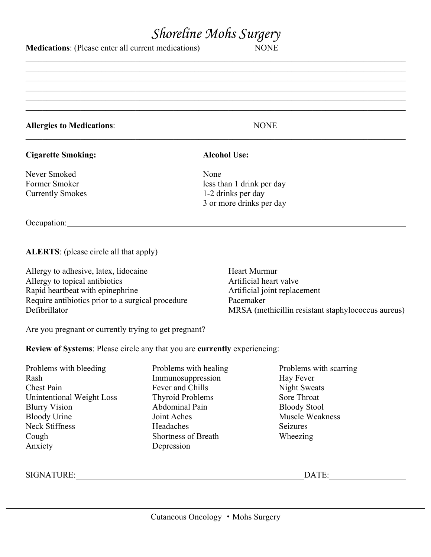$\mathcal{L}_\mathcal{L} = \mathcal{L}_\mathcal{L} = \mathcal{L}_\mathcal{L} = \mathcal{L}_\mathcal{L} = \mathcal{L}_\mathcal{L} = \mathcal{L}_\mathcal{L} = \mathcal{L}_\mathcal{L} = \mathcal{L}_\mathcal{L} = \mathcal{L}_\mathcal{L} = \mathcal{L}_\mathcal{L} = \mathcal{L}_\mathcal{L} = \mathcal{L}_\mathcal{L} = \mathcal{L}_\mathcal{L} = \mathcal{L}_\mathcal{L} = \mathcal{L}_\mathcal{L} = \mathcal{L}_\mathcal{L} = \mathcal{L}_\mathcal{L}$  $\mathcal{L}_\mathcal{L} = \mathcal{L}_\mathcal{L} = \mathcal{L}_\mathcal{L} = \mathcal{L}_\mathcal{L} = \mathcal{L}_\mathcal{L} = \mathcal{L}_\mathcal{L} = \mathcal{L}_\mathcal{L} = \mathcal{L}_\mathcal{L} = \mathcal{L}_\mathcal{L} = \mathcal{L}_\mathcal{L} = \mathcal{L}_\mathcal{L} = \mathcal{L}_\mathcal{L} = \mathcal{L}_\mathcal{L} = \mathcal{L}_\mathcal{L} = \mathcal{L}_\mathcal{L} = \mathcal{L}_\mathcal{L} = \mathcal{L}_\mathcal{L}$  $\mathcal{L}_\mathcal{L} = \mathcal{L}_\mathcal{L} = \mathcal{L}_\mathcal{L} = \mathcal{L}_\mathcal{L} = \mathcal{L}_\mathcal{L} = \mathcal{L}_\mathcal{L} = \mathcal{L}_\mathcal{L} = \mathcal{L}_\mathcal{L} = \mathcal{L}_\mathcal{L} = \mathcal{L}_\mathcal{L} = \mathcal{L}_\mathcal{L} = \mathcal{L}_\mathcal{L} = \mathcal{L}_\mathcal{L} = \mathcal{L}_\mathcal{L} = \mathcal{L}_\mathcal{L} = \mathcal{L}_\mathcal{L} = \mathcal{L}_\mathcal{L}$  $\mathcal{L}_\mathcal{L} = \mathcal{L}_\mathcal{L} = \mathcal{L}_\mathcal{L} = \mathcal{L}_\mathcal{L} = \mathcal{L}_\mathcal{L} = \mathcal{L}_\mathcal{L} = \mathcal{L}_\mathcal{L} = \mathcal{L}_\mathcal{L} = \mathcal{L}_\mathcal{L} = \mathcal{L}_\mathcal{L} = \mathcal{L}_\mathcal{L} = \mathcal{L}_\mathcal{L} = \mathcal{L}_\mathcal{L} = \mathcal{L}_\mathcal{L} = \mathcal{L}_\mathcal{L} = \mathcal{L}_\mathcal{L} = \mathcal{L}_\mathcal{L}$  $\mathcal{L}_\mathcal{L} = \mathcal{L}_\mathcal{L} = \mathcal{L}_\mathcal{L} = \mathcal{L}_\mathcal{L} = \mathcal{L}_\mathcal{L} = \mathcal{L}_\mathcal{L} = \mathcal{L}_\mathcal{L} = \mathcal{L}_\mathcal{L} = \mathcal{L}_\mathcal{L} = \mathcal{L}_\mathcal{L} = \mathcal{L}_\mathcal{L} = \mathcal{L}_\mathcal{L} = \mathcal{L}_\mathcal{L} = \mathcal{L}_\mathcal{L} = \mathcal{L}_\mathcal{L} = \mathcal{L}_\mathcal{L} = \mathcal{L}_\mathcal{L}$  $\mathcal{L}_\mathcal{L} = \mathcal{L}_\mathcal{L} = \mathcal{L}_\mathcal{L} = \mathcal{L}_\mathcal{L} = \mathcal{L}_\mathcal{L} = \mathcal{L}_\mathcal{L} = \mathcal{L}_\mathcal{L} = \mathcal{L}_\mathcal{L} = \mathcal{L}_\mathcal{L} = \mathcal{L}_\mathcal{L} = \mathcal{L}_\mathcal{L} = \mathcal{L}_\mathcal{L} = \mathcal{L}_\mathcal{L} = \mathcal{L}_\mathcal{L} = \mathcal{L}_\mathcal{L} = \mathcal{L}_\mathcal{L} = \mathcal{L}_\mathcal{L}$ 

**Medications**: (Please enter all current medications) NONE

#### **Allergies to Medications**: NONE  $\mathcal{L}_\mathcal{L} = \mathcal{L}_\mathcal{L} = \mathcal{L}_\mathcal{L} = \mathcal{L}_\mathcal{L} = \mathcal{L}_\mathcal{L} = \mathcal{L}_\mathcal{L} = \mathcal{L}_\mathcal{L} = \mathcal{L}_\mathcal{L} = \mathcal{L}_\mathcal{L} = \mathcal{L}_\mathcal{L} = \mathcal{L}_\mathcal{L} = \mathcal{L}_\mathcal{L} = \mathcal{L}_\mathcal{L} = \mathcal{L}_\mathcal{L} = \mathcal{L}_\mathcal{L} = \mathcal{L}_\mathcal{L} = \mathcal{L}_\mathcal{L}$

#### **Cigarette Smoking: Alcohol Use:**

Never Smoked None

Former Smoker less than 1 drink per day Currently Smokes 1-2 drinks per day 3 or more drinks per day

Occupation: experience of the contract of the contract of the contract of the contract of the contract of the contract of the contract of the contract of the contract of the contract of the contract of the contract of the

**ALERTS**: (please circle all that apply)

Allergy to adhesive, latex, lidocaine Heart Murmur Allergy to topical antibiotics Artificial heart valve Rapid heartbeat with epinephrine Artificial joint replacement Require antibiotics prior to a surgical procedure Pacemaker Defibrillator MRSA (methicillin resistant staphylococcus aureus)

Are you pregnant or currently trying to get pregnant?

**Review of Systems**: Please circle any that you are **currently** experiencing:

| Problems with bleeding    | Problems with healing   | Problems with scarring |
|---------------------------|-------------------------|------------------------|
| Rash                      | Immunosuppression       | Hay Fever              |
| Chest Pain                | Fever and Chills        | <b>Night Sweats</b>    |
| Unintentional Weight Loss | <b>Thyroid Problems</b> | Sore Throat            |
| <b>Blurry Vision</b>      | Abdominal Pain          | <b>Bloody Stool</b>    |
| <b>Bloody Urine</b>       | Joint Aches             | Muscle Weakness        |
| <b>Neck Stiffness</b>     | Headaches               | Seizures               |
| Cough                     | Shortness of Breath     | Wheezing               |
| Anxiety                   | Depression              |                        |
|                           |                         |                        |
|                           |                         |                        |

SIGNATURE: DATE:

Cutaneous Oncology • Mohs Surgery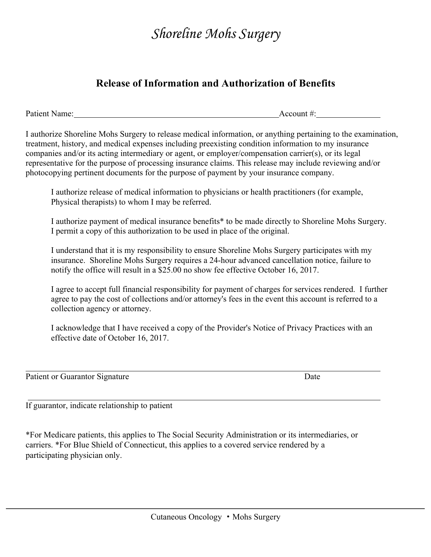#### **Release of Information and Authorization of Benefits**

Patient Name: Account #:

I authorize Shoreline Mohs Surgery to release medical information, or anything pertaining to the examination, treatment, history, and medical expenses including preexisting condition information to my insurance companies and/or its acting intermediary or agent, or employer/compensation carrier(s), or its legal representative for the purpose of processing insurance claims. This release may include reviewing and/or photocopying pertinent documents for the purpose of payment by your insurance company.

I authorize release of medical information to physicians or health practitioners (for example, Physical therapists) to whom I may be referred.

I authorize payment of medical insurance benefits\* to be made directly to Shoreline Mohs Surgery. I permit a copy of this authorization to be used in place of the original.

I understand that it is my responsibility to ensure Shoreline Mohs Surgery participates with my insurance. Shoreline Mohs Surgery requires a 24-hour advanced cancellation notice, failure to notify the office will result in a \$25.00 no show fee effective October 16, 2017.

I agree to accept full financial responsibility for payment of charges for services rendered. I further agree to pay the cost of collections and/or attorney's fees in the event this account is referred to a collection agency or attorney.

I acknowledge that I have received a copy of the Provider's Notice of Privacy Practices with an effective date of October 16, 2017.

Patient or Guarantor Signature Date

If guarantor, indicate relationship to patient

\*For Medicare patients, this applies to The Social Security Administration or its intermediaries, or carriers. \*For Blue Shield of Connecticut, this applies to a covered service rendered by a participating physician only.